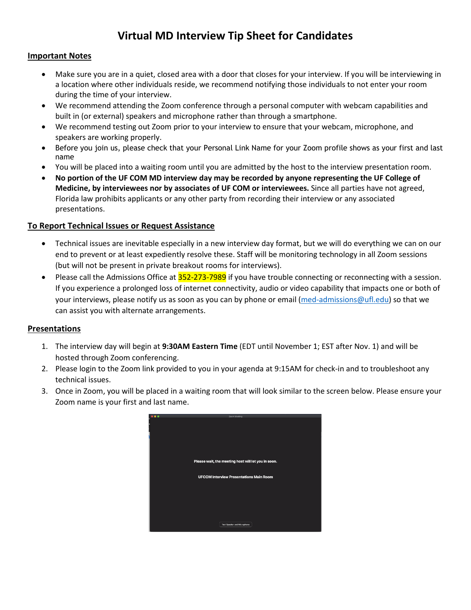# **Virtual MD Interview Tip Sheet for Candidates**

### **Important Notes**

- Make sure you are in a quiet, closed area with a door that closes for your interview. If you will be interviewing in a location where other individuals reside, we recommend notifying those individuals to not enter your room during the time of your interview.
- We recommend attending the Zoom conference through a personal computer with webcam capabilities and built in (or external) speakers and microphone rather than through a smartphone.
- We recommend testing out Zoom prior to your interview to ensure that your webcam, microphone, and speakers are working properly.
- Before you join us, please check that your Personal Link Name for your Zoom profile shows as your first and last name
- You will be placed into a waiting room until you are admitted by the host to the interview presentation room.
- **No portion of the UF COM MD interview day may be recorded by anyone representing the UF College of Medicine, by interviewees nor by associates of UF COM or interviewees.** Since all parties have not agreed, Florida law prohibits applicants or any other party from recording their interview or any associated presentations.

#### **To Report Technical Issues or Request Assistance**

- Technical issues are inevitable especially in a new interview day format, but we will do everything we can on our end to prevent or at least expediently resolve these. Staff will be monitoring technology in all Zoom sessions (but will not be present in private breakout rooms for interviews).
- Please call the Admissions Office at 352-273-7989 if you have trouble connecting or reconnecting with a session. If you experience a prolonged loss of internet connectivity, audio or video capability that impacts one or both of your interviews, please notify us as soon as you can by phone or email [\(med-admissions@ufl.edu\)](mailto:med-admissions@ufl.edu) so that we can assist you with alternate arrangements.

## **Presentations**

- 1. The interview day will begin at **9:30AM Eastern Time** (EDT until November 1; EST after Nov. 1) and will be hosted through Zoom conferencing.
- 2. Please login to the Zoom link provided to you in your agenda at 9:15AM for check-in and to troubleshoot any technical issues.
- 3. Once in Zoom, you will be placed in a waiting room that will look similar to the screen below. Please ensure your Zoom name is your first and last name.

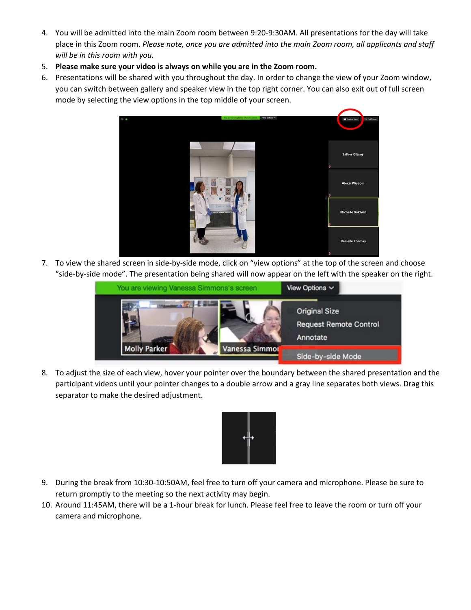- 4. You will be admitted into the main Zoom room between 9:20-9:30AM. All presentations for the day will take place in this Zoom room. *Please note, once you are admitted into the main Zoom room, all applicants and staff will be in this room with you.*
- 5. **Please make sure your video is always on while you are in the Zoom room.**
- 6. Presentations will be shared with you throughout the day. In order to change the view of your Zoom window, you can switch between gallery and speaker view in the top right corner. You can also exit out of full screen mode by selecting the view options in the top middle of your screen.



7. To view the shared screen in side-by-side mode, click on "view options" at the top of the screen and choose "side-by-side mode". The presentation being shared will now appear on the left with the speaker on the right.



8. To adjust the size of each view, hover your pointer over the boundary between the shared presentation and the participant videos until your pointer changes to a double arrow and a gray line separates both views. Drag this separator to make the desired adjustment.



- 9. During the break from 10:30-10:50AM, feel free to turn off your camera and microphone. Please be sure to return promptly to the meeting so the next activity may begin.
- 10. Around 11:45AM, there will be a 1-hour break for lunch. Please feel free to leave the room or turn off your camera and microphone.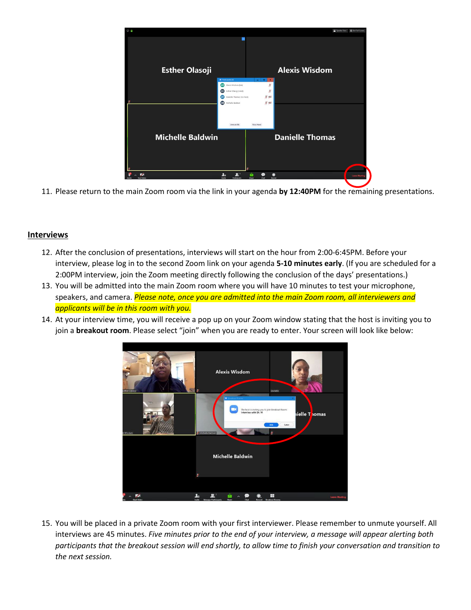

11. Please return to the main Zoom room via the link in your agenda **by 12:40PM** for the remaining presentations.

#### **Interviews**

- 12. After the conclusion of presentations, interviews will start on the hour from 2:00-6:45PM. Before your interview, please log in to the second Zoom link on your agenda **5-10 minutes early**. (If you are scheduled for a 2:00PM interview, join the Zoom meeting directly following the conclusion of the days' presentations.)
- 13. You will be admitted into the main Zoom room where you will have 10 minutes to test your microphone, speakers, and camera. *Please note, once you are admitted into the main Zoom room, all interviewers and applicants will be in this room with you.*
- 14. At your interview time, you will receive a pop up on your Zoom window stating that the host is inviting you to join a **breakout room**. Please select "join" when you are ready to enter. Your screen will look like below:



15. You will be placed in a private Zoom room with your first interviewer. Please remember to unmute yourself. All interviews are 45 minutes. *Five minutes prior to the end of your interview, a message will appear alerting both participants that the breakout session will end shortly, to allow time to finish your conversation and transition to the next session.*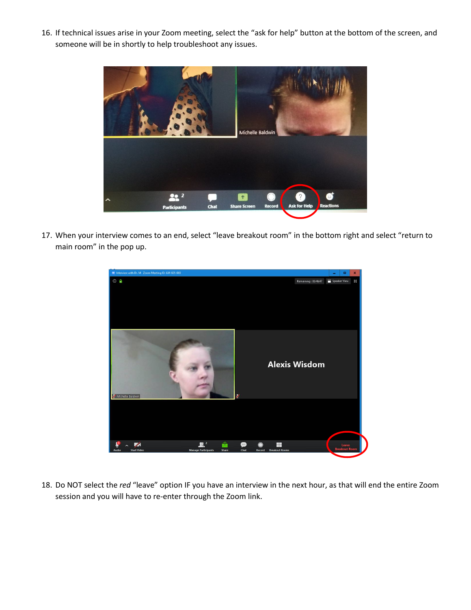16. If technical issues arise in your Zoom meeting, select the "ask for help" button at the bottom of the screen, and someone will be in shortly to help troubleshoot any issues.



17. When your interview comes to an end, select "leave breakout room" in the bottom right and select "return to main room" in the pop up.



18. Do NOT select the *red* "leave" option IF you have an interview in the next hour, as that will end the entire Zoom session and you will have to re-enter through the Zoom link.